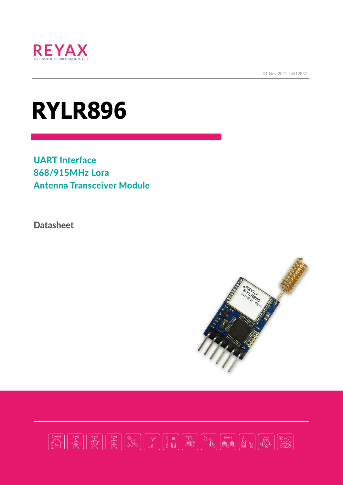

01-Nov-2021 56312E37

# **RYLR896**

UART Interface 868/915MHz Lora Antenna Transceiver Module

**Datasheet** 



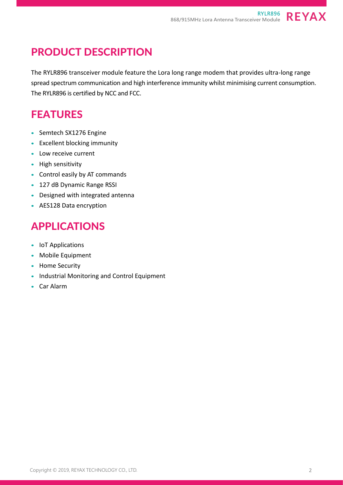## PRODUCT DESCRIPTION

The RYLR896 transceiver module feature the Lora long range modem that provides ultra-long range spread spectrum communication and high interference immunity whilst minimising current consumption. The RYLR896 is certified by NCC and FCC.

## FEATURES

- Semtech SX1276 Engine
- Excellent blocking immunity
- Low receive current
- High sensitivity
- Control easily by AT commands
- 127 dB Dynamic Range RSSI
- Designed with integrated antenna
- AES128 Data encryption

#### APPLICATIONS

- IoT Applications
- Mobile Equipment
- Home Security
- Industrial Monitoring and Control Equipment
- Car Alarm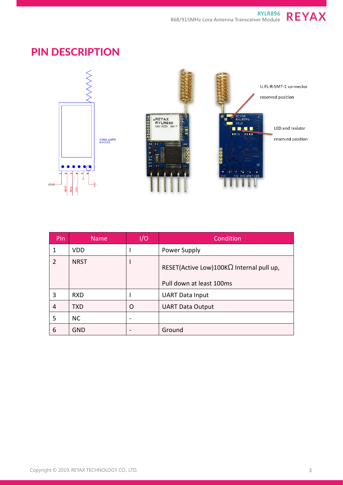**RYLR896 868/915MHz Lora Antenna Transceiver Module**

**REYAX** 

#### PIN DESCRIPTION



| Pin | <b>Name</b> | I/O | Condition                                                                    |  |  |
|-----|-------------|-----|------------------------------------------------------------------------------|--|--|
| 1   | <b>VDD</b>  |     | Power Supply                                                                 |  |  |
| 2   | <b>NRST</b> |     | RESET(Active Low)100K $\Omega$ Internal pull up,<br>Pull down at least 100ms |  |  |
| 3   | <b>RXD</b>  |     | <b>UART Data Input</b>                                                       |  |  |
| 4   | <b>TXD</b>  | O   | <b>UART Data Output</b>                                                      |  |  |
| 5   | <b>NC</b>   |     |                                                                              |  |  |
| 6   | <b>GND</b>  |     | Ground                                                                       |  |  |

Copyright © 2019, REYAX TECHNOLOGY CO., LTD.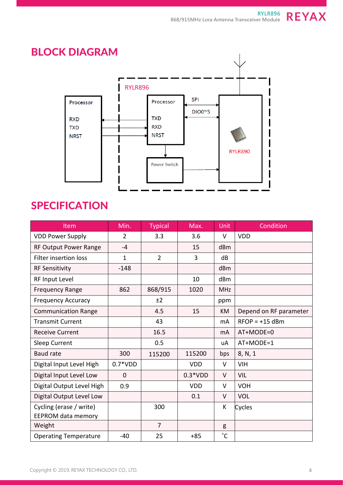

## **SPECIFICATION**

| Item                         | Min.           | <b>Typical</b> | Max.       | Unit         | Condition              |
|------------------------------|----------------|----------------|------------|--------------|------------------------|
| <b>VDD Power Supply</b>      | $\overline{2}$ | 3.3            | 3.6        | V            | <b>VDD</b>             |
| <b>RF Output Power Range</b> | $-4$           |                | 15         | dBm          |                        |
| <b>Filter insertion loss</b> | $\mathbf{1}$   | $\overline{2}$ | 3          | dB           |                        |
| <b>RF Sensitivity</b>        | $-148$         |                |            | dBm          |                        |
| RF Input Level               |                |                | 10         | dBm          |                        |
| <b>Frequency Range</b>       | 862            | 868/915        | 1020       | <b>MHz</b>   |                        |
| <b>Frequency Accuracy</b>    |                | ±2             |            | ppm          |                        |
| <b>Communication Range</b>   |                | 4.5            | 15         | <b>KM</b>    | Depend on RF parameter |
| <b>Transmit Current</b>      |                | 43             |            | mA           | $RFOP = +15$ dBm       |
| <b>Receive Current</b>       |                | 16.5           |            | mA           | AT+MODE=0              |
| Sleep Current                |                | 0.5            |            | uA           | AT+MODE=1              |
| <b>Baud rate</b>             | 300            | 115200         | 115200     | bps          | 8, N, 1                |
| Digital Input Level High     | $0.7*VDD$      |                | <b>VDD</b> | V            | <b>VIH</b>             |
| Digital Input Level Low      | $\Omega$       |                | $0.3*VDD$  | V            | VIL                    |
| Digital Output Level High    | 0.9            |                | <b>VDD</b> | V            | <b>VOH</b>             |
| Digital Output Level Low     |                |                | 0.1        | V            | <b>VOL</b>             |
| Cycling (erase / write)      |                | 300            |            | K            | Cycles                 |
| <b>EEPROM data memory</b>    |                |                |            |              |                        |
| Weight                       |                | $\overline{7}$ |            | g            |                        |
| <b>Operating Temperature</b> | $-40$          | 25             | $+85$      | $^{\circ}$ C |                        |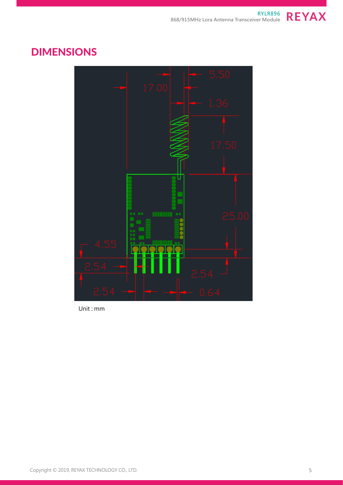

#### DIMENSIONS



Unit : mm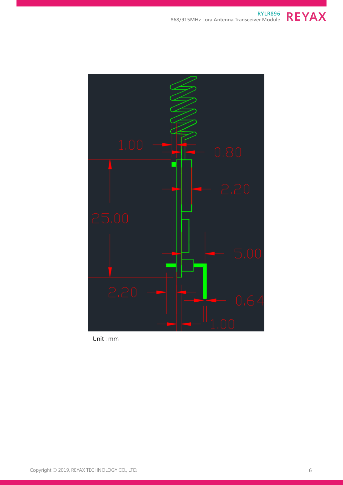



Unit : mm